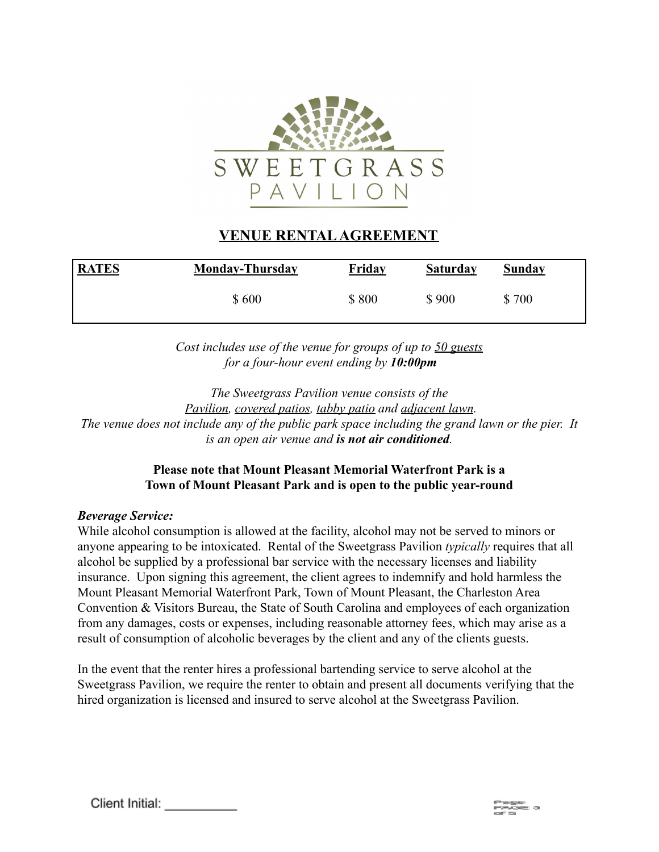

## **VENUE RENTALAGREEMENT**

| <b>RATES</b> | <b>Monday-Thursday</b> | <b>Friday</b> | <b>Saturday</b> | Sunday |
|--------------|------------------------|---------------|-----------------|--------|
|              | \$600                  | \$800         | \$900           | \$700  |

*Cost includes use of the venue for groups of up to 50 guests for a four-hour event ending by 10:00pm*

*The Sweetgrass Pavilion venue consists of the Pavilion, covered patios, tabby patio and adjacent lawn. The venue does not include any of the public park space including the grand lawn or the pier. It is an open air venue and is not air conditioned.*

## **Please note that Mount Pleasant Memorial Waterfront Park is a Town of Mount Pleasant Park and is open to the public year-round**

#### *Beverage Service:*

While alcohol consumption is allowed at the facility, alcohol may not be served to minors or anyone appearing to be intoxicated. Rental of the Sweetgrass Pavilion *typically* requires that all alcohol be supplied by a professional bar service with the necessary licenses and liability insurance. Upon signing this agreement, the client agrees to indemnify and hold harmless the Mount Pleasant Memorial Waterfront Park, Town of Mount Pleasant, the Charleston Area Convention & Visitors Bureau, the State of South Carolina and employees of each organization from any damages, costs or expenses, including reasonable attorney fees, which may arise as a result of consumption of alcoholic beverages by the client and any of the clients guests.

In the event that the renter hires a professional bartending service to serve alcohol at the Sweetgrass Pavilion, we require the renter to obtain and present all documents verifying that the hired organization is licensed and insured to serve alcohol at the Sweetgrass Pavilion.

Client Initial: \_\_\_\_\_\_\_\_\_\_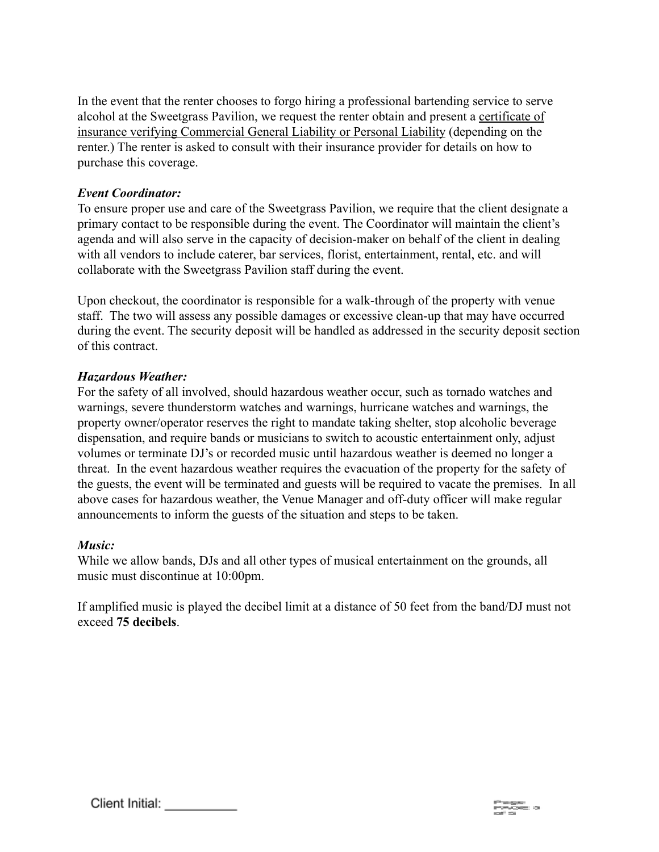In the event that the renter chooses to forgo hiring a professional bartending service to serve alcohol at the Sweetgrass Pavilion, we request the renter obtain and present a certificate of insurance verifying Commercial General Liability or Personal Liability (depending on the renter.) The renter is asked to consult with their insurance provider for details on how to purchase this coverage.

## *Event Coordinator:*

To ensure proper use and care of the Sweetgrass Pavilion, we require that the client designate a primary contact to be responsible during the event. The Coordinator will maintain the client's agenda and will also serve in the capacity of decision-maker on behalf of the client in dealing with all vendors to include caterer, bar services, florist, entertainment, rental, etc. and will collaborate with the Sweetgrass Pavilion staff during the event.

Upon checkout, the coordinator is responsible for a walk-through of the property with venue staff. The two will assess any possible damages or excessive clean-up that may have occurred during the event. The security deposit will be handled as addressed in the security deposit section of this contract.

## *Hazardous Weather:*

For the safety of all involved, should hazardous weather occur, such as tornado watches and warnings, severe thunderstorm watches and warnings, hurricane watches and warnings, the property owner/operator reserves the right to mandate taking shelter, stop alcoholic beverage dispensation, and require bands or musicians to switch to acoustic entertainment only, adjust volumes or terminate DJ's or recorded music until hazardous weather is deemed no longer a threat. In the event hazardous weather requires the evacuation of the property for the safety of the guests, the event will be terminated and guests will be required to vacate the premises. In all above cases for hazardous weather, the Venue Manager and off-duty officer will make regular announcements to inform the guests of the situation and steps to be taken.

#### *Music:*

While we allow bands, DJs and all other types of musical entertainment on the grounds, all music must discontinue at 10:00pm.

If amplified music is played the decibel limit at a distance of 50 feet from the band/DJ must not exceed **75 decibels**.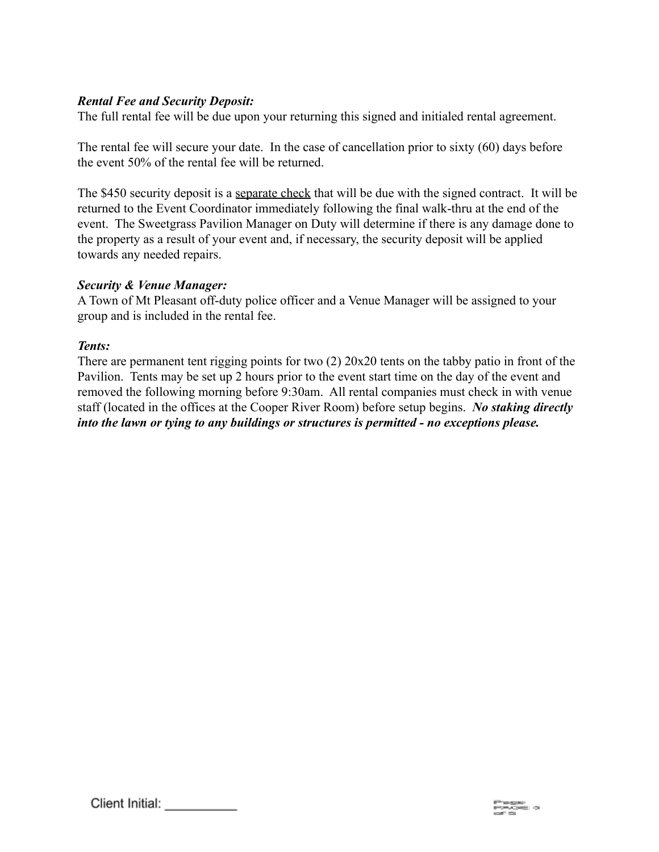## *Rental Fee and Security Deposit:*

The full rental fee will be due upon your returning this signed and initialed rental agreement.

The rental fee will secure your date. In the case of cancellation prior to sixty (60) days before the event 50% of the rental fee will be returned.

The \$450 security deposit is a separate check that will be due with the signed contract. It will be returned to the Event Coordinator immediately following the final walk-thru at the end of the event. The Sweetgrass Pavilion Manager on Duty will determine if there is any damage done to the property as a result of your event and, if necessary, the security deposit will be applied towards any needed repairs.

#### *Security & Venue Manager:*

A Town of Mt Pleasant off-duty police officer and a Venue Manager will be assigned to your group and is included in the rental fee.

#### *Tents:*

There are permanent tent rigging points for two (2) 20x20 tents on the tabby patio in front of the Pavilion. Tents may be set up 2 hours prior to the event start time on the day of the event and removed the following morning before 9:30am. All rental companies must check in with venue staff (located in the offices at the Cooper River Room) before setup begins. *No staking directly into the lawn or tying to any buildings or structures is permitted - no exceptions please.*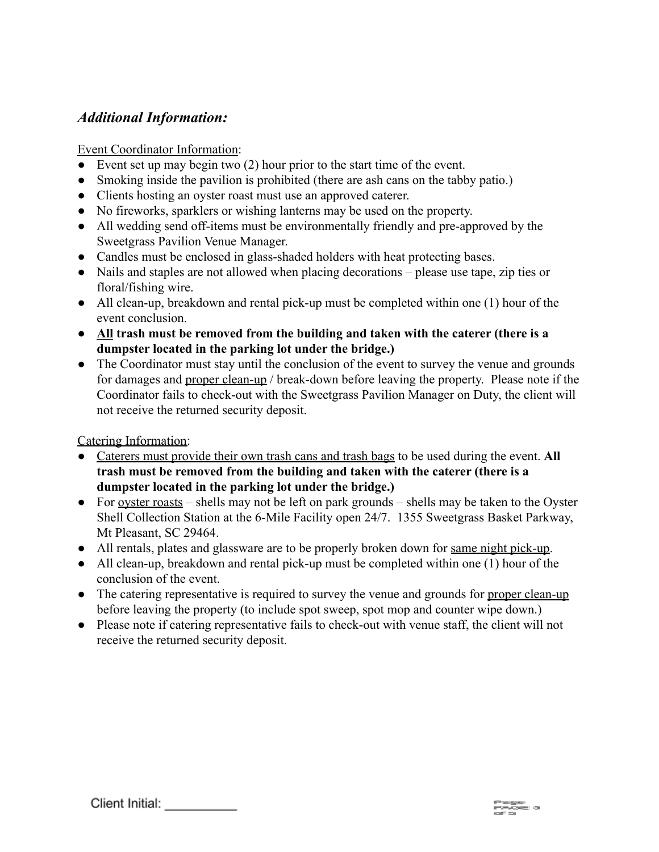## *Additional Information:*

## Event Coordinator Information:

- Event set up may begin two  $(2)$  hour prior to the start time of the event.
- Smoking inside the pavilion is prohibited (there are ash cans on the tabby patio.)
- Clients hosting an oyster roast must use an approved caterer.
- No fireworks, sparklers or wishing lanterns may be used on the property.
- All wedding send off-items must be environmentally friendly and pre-approved by the Sweetgrass Pavilion Venue Manager.
- Candles must be enclosed in glass-shaded holders with heat protecting bases.
- Nails and staples are not allowed when placing decorations please use tape, zip ties or floral/fishing wire.
- All clean-up, breakdown and rental pick-up must be completed within one (1) hour of the event conclusion.
- **All trash must be removed from the building and taken with the caterer (there is a dumpster located in the parking lot under the bridge.)**
- The Coordinator must stay until the conclusion of the event to survey the venue and grounds for damages and proper clean-up / break-down before leaving the property. Please note if the Coordinator fails to check-out with the Sweetgrass Pavilion Manager on Duty, the client will not receive the returned security deposit.

Catering Information:

- Caterers must provide their own trash cans and trash bags to be used during the event. **All trash must be removed from the building and taken with the caterer (there is a dumpster located in the parking lot under the bridge.)**
- For <u>oyster roasts</u> shells may not be left on park grounds shells may be taken to the Oyster Shell Collection Station at the 6-Mile Facility open 24/7. 1355 Sweetgrass Basket Parkway, Mt Pleasant, SC 29464.
- All rentals, plates and glassware are to be properly broken down for same night pick-up.
- All clean-up, breakdown and rental pick-up must be completed within one (1) hour of the conclusion of the event.
- The catering representative is required to survey the venue and grounds for proper clean-up before leaving the property (to include spot sweep, spot mop and counter wipe down.)
- Please note if catering representative fails to check-out with venue staff, the client will not receive the returned security deposit.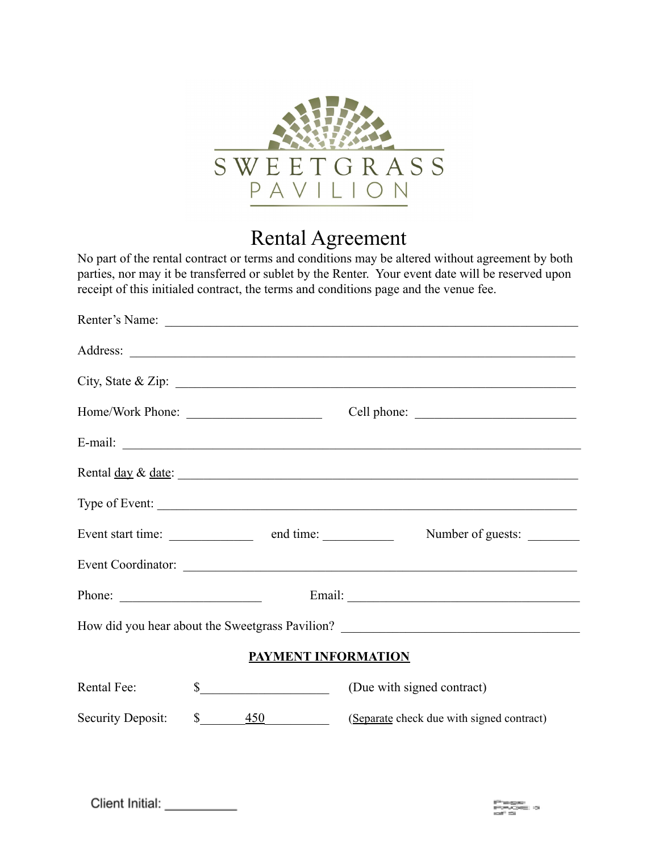

# Rental Agreement

No part of the rental contract or terms and conditions may be altered without agreement by both parties, nor may it be transferred or sublet by the Renter. Your event date will be reserved upon receipt of this initialed contract, the terms and conditions page and the venue fee.

|                            |                                       | Renter's Name:                                                                    |  |  |  |  |
|----------------------------|---------------------------------------|-----------------------------------------------------------------------------------|--|--|--|--|
|                            |                                       |                                                                                   |  |  |  |  |
|                            |                                       | City, State & Zip: $\overline{\phantom{a}}$                                       |  |  |  |  |
|                            | Home/Work Phone:                      | Cell phone:                                                                       |  |  |  |  |
|                            |                                       | E-mail: $\qquad \qquad$                                                           |  |  |  |  |
|                            |                                       | Rental <u>day</u> & <u>date</u> :                                                 |  |  |  |  |
|                            |                                       | Type of Event:                                                                    |  |  |  |  |
|                            | Event start time: end time: end time: | Number of guests:                                                                 |  |  |  |  |
|                            |                                       |                                                                                   |  |  |  |  |
| Phone: $\qquad \qquad$     |                                       |                                                                                   |  |  |  |  |
|                            |                                       | How did you hear about the Sweetgrass Pavilion? _________________________________ |  |  |  |  |
| <b>PAYMENT INFORMATION</b> |                                       |                                                                                   |  |  |  |  |
| Rental Fee:                | $\frac{\text{S}}{\text{S}}$           | (Due with signed contract)                                                        |  |  |  |  |
| Security Deposit:          | $\mathbb{S}$<br>$\overline{450}$      | (Separate check due with signed contract)                                         |  |  |  |  |

Client Initial: \_\_\_\_\_\_\_\_\_\_